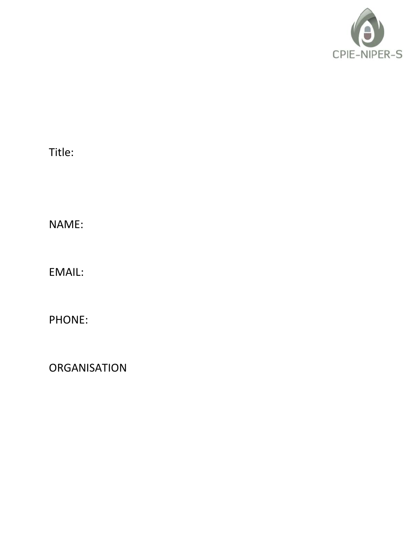

Title:

NAME:

EMAIL:

PHONE:

**ORGANISATION**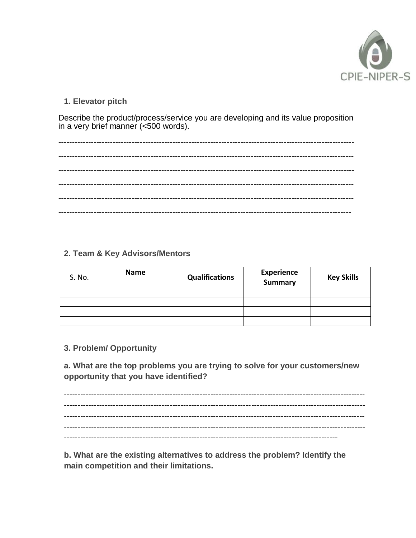

## 1. Elevator pitch

Describe the product/process/service you are developing and its value proposition<br>in a very brief manner (<500 words).

## 2. Team & Key Advisors/Mentors

| S. No. | <b>Name</b> | <b>Qualifications</b> | <b>Experience</b><br>Summary | <b>Key Skills</b> |
|--------|-------------|-----------------------|------------------------------|-------------------|
|        |             |                       |                              |                   |
|        |             |                       |                              |                   |
|        |             |                       |                              |                   |
|        |             |                       |                              |                   |

## 3. Problem/ Opportunity

a. What are the top problems you are trying to solve for your customers/new opportunity that you have identified?

b. What are the existing alternatives to address the problem? Identify the main competition and their limitations.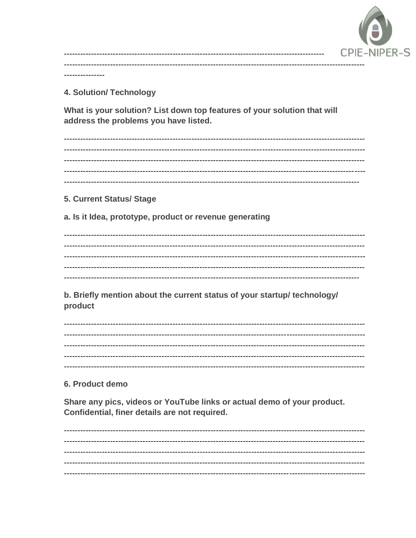

**4. Solution/ Technology** 

What is your solution? List down top features of your solution that will address the problems you have listed.

5. Current Status/ Stage

a. Is it Idea, prototype, product or revenue generating

b. Briefly mention about the current status of your startup/ technology/ product

6. Product demo

Share any pics, videos or YouTube links or actual demo of your product. Confidential, finer details are not required.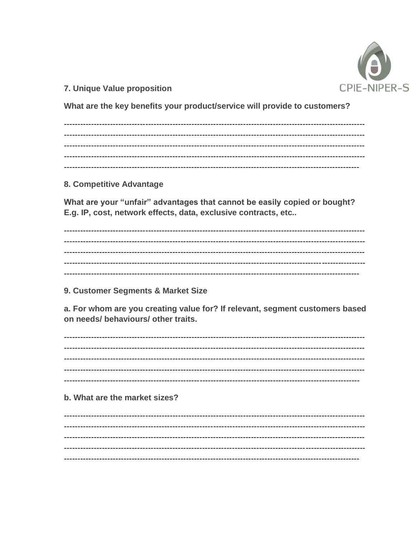

7. Unique Value proposition

What are the key benefits your product/service will provide to customers?

8. Competitive Advantage

What are your "unfair" advantages that cannot be easily copied or bought? E.g. IP, cost, network effects, data, exclusive contracts, etc..

9. Customer Segments & Market Size

a. For whom are you creating value for? If relevant, segment customers based on needs/ behaviours/ other traits.

b. What are the market sizes?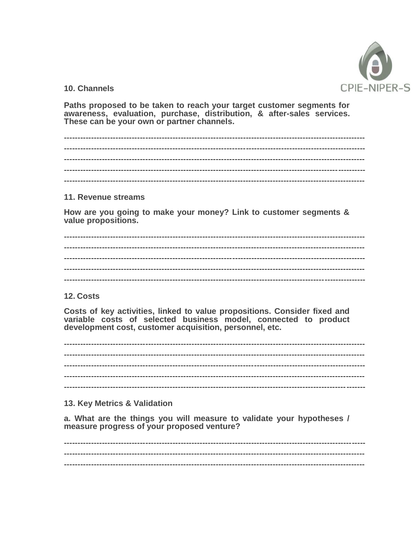

10. Channels

Paths proposed to be taken to reach your target customer segments for awareness, evaluation, purchase, distribution, & after-sales services. These can be your own or partner channels.

11. Revenue streams

How are you going to make your money? Link to customer segments & value propositions.

12. Costs

Costs of key activities, linked to value propositions. Consider fixed and variable costs of selected business model, connected to product development cost, customer acquisition, personnel, etc.

13. Key Metrics & Validation

a. What are the things you will measure to validate your hypotheses / measure progress of your proposed venture?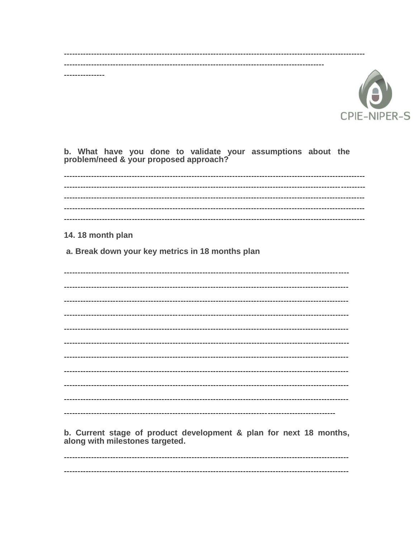

b. What have you done to validate your assumptions about the problem/need & your proposed approach?

14.18 month plan

...........

a. Break down your key metrics in 18 months plan

b. Current stage of product development & plan for next 18 months, along with milestones targeted.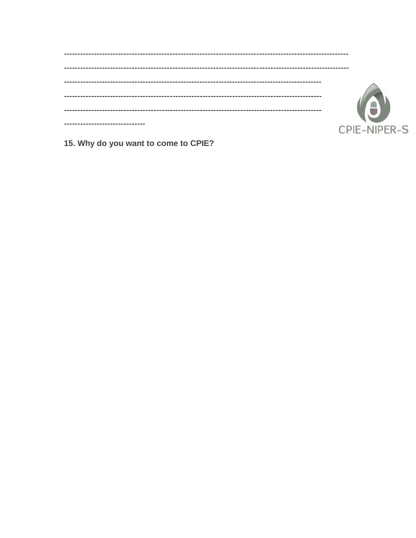| CPIE-NIPER-S |
|--------------|

15. Why do you want to come to CPIE?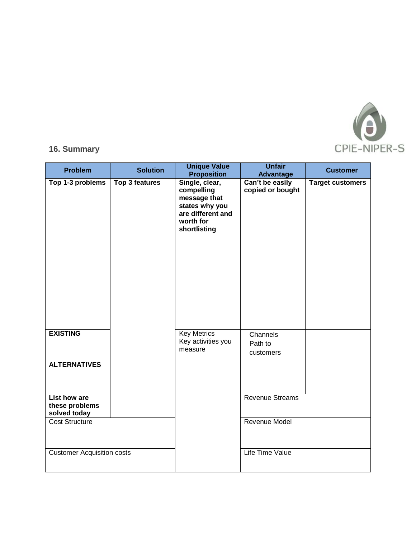

## **16. Summary**

| <b>Problem</b>                                        | <b>Solution</b>       | <b>Unique Value</b><br><b>Proposition</b>                                                                        | <b>Unfair</b><br><b>Advantage</b>   | <b>Customer</b>         |
|-------------------------------------------------------|-----------------------|------------------------------------------------------------------------------------------------------------------|-------------------------------------|-------------------------|
| Top 1-3 problems                                      | <b>Top 3 features</b> | Single, clear,<br>compelling<br>message that<br>states why you<br>are different and<br>worth for<br>shortlisting | Can't be easily<br>copied or bought | <b>Target customers</b> |
| <b>EXISTING</b>                                       |                       | <b>Key Metrics</b><br>Key activities you<br>measure                                                              | Channels<br>Path to<br>customers    |                         |
| <b>ALTERNATIVES</b>                                   |                       |                                                                                                                  |                                     |                         |
| <b>List how are</b><br>these problems<br>solved today |                       |                                                                                                                  | Revenue Streams                     |                         |
| Cost Structure                                        |                       |                                                                                                                  | Revenue Model                       |                         |
| <b>Customer Acquisition costs</b>                     |                       |                                                                                                                  | <b>Life Time Value</b>              |                         |